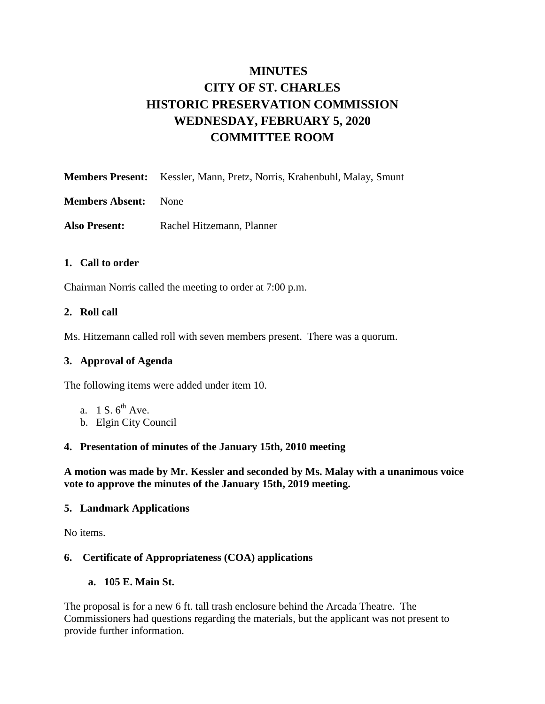# **MINUTES CITY OF ST. CHARLES HISTORIC PRESERVATION COMMISSION WEDNESDAY, FEBRUARY 5, 2020 COMMITTEE ROOM**

**Members Present:** Kessler, Mann, Pretz, Norris, Krahenbuhl, Malay, Smunt

**Members Absent:** None

**Also Present:** Rachel Hitzemann, Planner

#### **1. Call to order**

Chairman Norris called the meeting to order at 7:00 p.m.

#### **2. Roll call**

Ms. Hitzemann called roll with seven members present. There was a quorum.

#### **3. Approval of Agenda**

The following items were added under item 10.

- a. 1 S.  $6^{th}$  Ave.
- b. Elgin City Council

#### **4. Presentation of minutes of the January 15th, 2010 meeting**

**A motion was made by Mr. Kessler and seconded by Ms. Malay with a unanimous voice vote to approve the minutes of the January 15th, 2019 meeting.** 

#### **5. Landmark Applications**

No items.

### **6. Certificate of Appropriateness (COA) applications**

**a. 105 E. Main St.** 

The proposal is for a new 6 ft. tall trash enclosure behind the Arcada Theatre. The Commissioners had questions regarding the materials, but the applicant was not present to provide further information.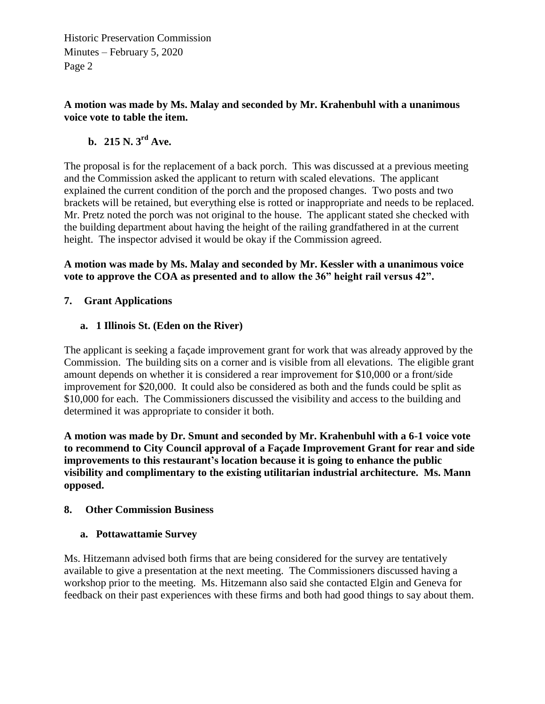Historic Preservation Commission Minutes – February 5, 2020 Page 2

### **A motion was made by Ms. Malay and seconded by Mr. Krahenbuhl with a unanimous voice vote to table the item.**

# **b. 215 N. 3rd Ave.**

The proposal is for the replacement of a back porch. This was discussed at a previous meeting and the Commission asked the applicant to return with scaled elevations. The applicant explained the current condition of the porch and the proposed changes. Two posts and two brackets will be retained, but everything else is rotted or inappropriate and needs to be replaced. Mr. Pretz noted the porch was not original to the house. The applicant stated she checked with the building department about having the height of the railing grandfathered in at the current height. The inspector advised it would be okay if the Commission agreed.

**A motion was made by Ms. Malay and seconded by Mr. Kessler with a unanimous voice vote to approve the COA as presented and to allow the 36" height rail versus 42".** 

### **7. Grant Applications**

### **a. 1 Illinois St. (Eden on the River)**

The applicant is seeking a façade improvement grant for work that was already approved by the Commission. The building sits on a corner and is visible from all elevations. The eligible grant amount depends on whether it is considered a rear improvement for \$10,000 or a front/side improvement for \$20,000. It could also be considered as both and the funds could be split as \$10,000 for each. The Commissioners discussed the visibility and access to the building and determined it was appropriate to consider it both.

**A motion was made by Dr. Smunt and seconded by Mr. Krahenbuhl with a 6-1 voice vote to recommend to City Council approval of a Façade Improvement Grant for rear and side improvements to this restaurant's location because it is going to enhance the public visibility and complimentary to the existing utilitarian industrial architecture. Ms. Mann opposed.** 

### **8. Other Commission Business**

### **a. Pottawattamie Survey**

Ms. Hitzemann advised both firms that are being considered for the survey are tentatively available to give a presentation at the next meeting. The Commissioners discussed having a workshop prior to the meeting. Ms. Hitzemann also said she contacted Elgin and Geneva for feedback on their past experiences with these firms and both had good things to say about them.